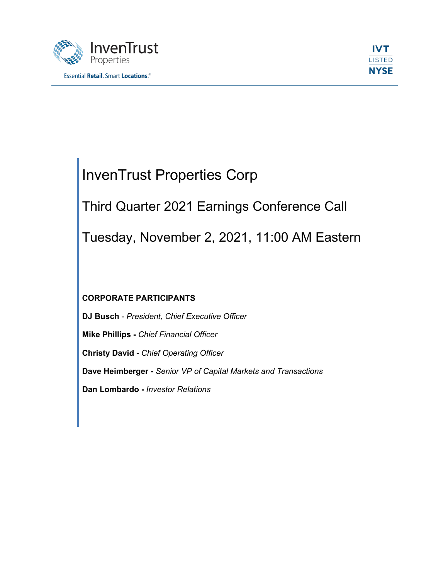



# InvenTrust Properties Corp

Third Quarter 2021 Earnings Conference Call

Tuesday, November 2, 2021, 11:00 AM Eastern

# **CORPORATE PARTICIPANTS**

**DJ Busch** - *President, Chief Executive Officer* **Mike Phillips -** *Chief Financial Officer* **Christy David -** *Chief Operating Officer* **Dave Heimberger -** *Senior VP of Capital Markets and Transactions* **Dan Lombardo -** *Investor Relations*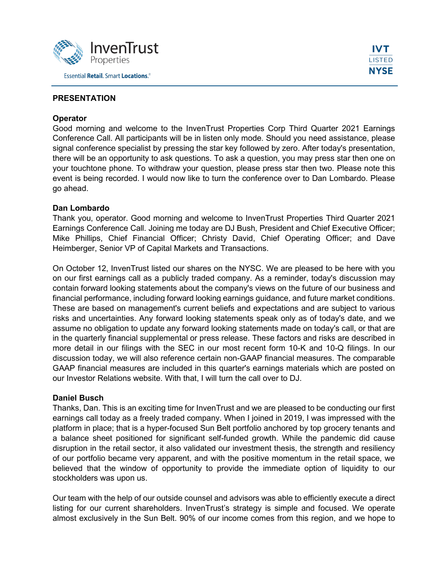

# **PRESENTATION**

#### **Operator**

Good morning and welcome to the InvenTrust Properties Corp Third Quarter 2021 Earnings Conference Call. All participants will be in listen only mode. Should you need assistance, please signal conference specialist by pressing the star key followed by zero. After today's presentation, there will be an opportunity to ask questions. To ask a question, you may press star then one on your touchtone phone. To withdraw your question, please press star then two. Please note this event is being recorded. I would now like to turn the conference over to Dan Lombardo. Please go ahead.

#### **Dan Lombardo**

Thank you, operator. Good morning and welcome to InvenTrust Properties Third Quarter 2021 Earnings Conference Call. Joining me today are DJ Bush, President and Chief Executive Officer; Mike Phillips, Chief Financial Officer; Christy David, Chief Operating Officer; and Dave Heimberger, Senior VP of Capital Markets and Transactions.

On October 12, InvenTrust listed our shares on the NYSC. We are pleased to be here with you on our first earnings call as a publicly traded company. As a reminder, today's discussion may contain forward looking statements about the company's views on the future of our business and financial performance, including forward looking earnings guidance, and future market conditions. These are based on management's current beliefs and expectations and are subject to various risks and uncertainties. Any forward looking statements speak only as of today's date, and we assume no obligation to update any forward looking statements made on today's call, or that are in the quarterly financial supplemental or press release. These factors and risks are described in more detail in our filings with the SEC in our most recent form 10-K and 10-Q filings. In our discussion today, we will also reference certain non-GAAP financial measures. The comparable GAAP financial measures are included in this quarter's earnings materials which are posted on our Investor Relations website. With that, I will turn the call over to DJ.

## **Daniel Busch**

Thanks, Dan. This is an exciting time for InvenTrust and we are pleased to be conducting our first earnings call today as a freely traded company. When I joined in 2019, I was impressed with the platform in place; that is a hyper-focused Sun Belt portfolio anchored by top grocery tenants and a balance sheet positioned for significant self-funded growth. While the pandemic did cause disruption in the retail sector, it also validated our investment thesis, the strength and resiliency of our portfolio became very apparent, and with the positive momentum in the retail space, we believed that the window of opportunity to provide the immediate option of liquidity to our stockholders was upon us.

Our team with the help of our outside counsel and advisors was able to efficiently execute a direct listing for our current shareholders. InvenTrust's strategy is simple and focused. We operate almost exclusively in the Sun Belt. 90% of our income comes from this region, and we hope to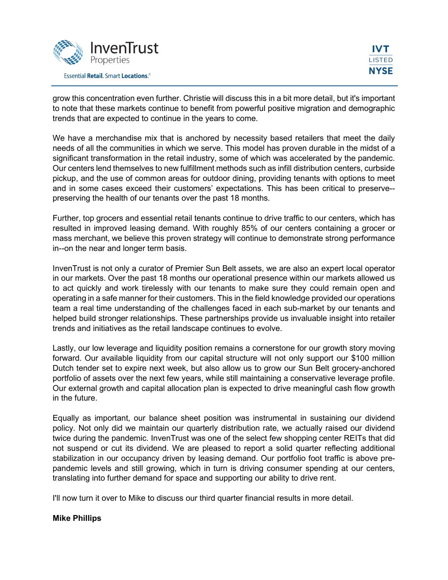

grow this concentration even further. Christie will discuss this in a bit more detail, but it's important to note that these markets continue to benefit from powerful positive migration and demographic trends that are expected to continue in the years to come.

We have a merchandise mix that is anchored by necessity based retailers that meet the daily needs of all the communities in which we serve. This model has proven durable in the midst of a significant transformation in the retail industry, some of which was accelerated by the pandemic. Our centers lend themselves to new fulfillment methods such as infill distribution centers, curbside pickup, and the use of common areas for outdoor dining, providing tenants with options to meet and in some cases exceed their customers' expectations. This has been critical to preserve- preserving the health of our tenants over the past 18 months.

Further, top grocers and essential retail tenants continue to drive traffic to our centers, which has resulted in improved leasing demand. With roughly 85% of our centers containing a grocer or mass merchant, we believe this proven strategy will continue to demonstrate strong performance in--on the near and longer term basis.

InvenTrust is not only a curator of Premier Sun Belt assets, we are also an expert local operator in our markets. Over the past 18 months our operational presence within our markets allowed us to act quickly and work tirelessly with our tenants to make sure they could remain open and operating in a safe manner for their customers. This in the field knowledge provided our operations team a real time understanding of the challenges faced in each sub-market by our tenants and helped build stronger relationships. These partnerships provide us invaluable insight into retailer trends and initiatives as the retail landscape continues to evolve.

Lastly, our low leverage and liquidity position remains a cornerstone for our growth story moving forward. Our available liquidity from our capital structure will not only support our \$100 million Dutch tender set to expire next week, but also allow us to grow our Sun Belt grocery-anchored portfolio of assets over the next few years, while still maintaining a conservative leverage profile. Our external growth and capital allocation plan is expected to drive meaningful cash flow growth in the future.

Equally as important, our balance sheet position was instrumental in sustaining our dividend policy. Not only did we maintain our quarterly distribution rate, we actually raised our dividend twice during the pandemic. InvenTrust was one of the select few shopping center REITs that did not suspend or cut its dividend. We are pleased to report a solid quarter reflecting additional stabilization in our occupancy driven by leasing demand. Our portfolio foot traffic is above prepandemic levels and still growing, which in turn is driving consumer spending at our centers, translating into further demand for space and supporting our ability to drive rent.

I'll now turn it over to Mike to discuss our third quarter financial results in more detail.

## **Mike Phillips**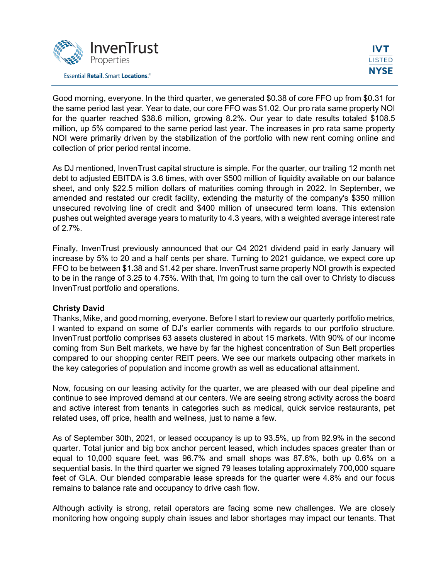

Good morning, everyone. In the third quarter, we generated \$0.38 of core FFO up from \$0.31 for the same period last year. Year to date, our core FFO was \$1.02. Our pro rata same property NOI for the quarter reached \$38.6 million, growing 8.2%. Our year to date results totaled \$108.5 million, up 5% compared to the same period last year. The increases in pro rata same property NOI were primarily driven by the stabilization of the portfolio with new rent coming online and collection of prior period rental income.

As DJ mentioned, InvenTrust capital structure is simple. For the quarter, our trailing 12 month net debt to adjusted EBITDA is 3.6 times, with over \$500 million of liquidity available on our balance sheet, and only \$22.5 million dollars of maturities coming through in 2022. In September, we amended and restated our credit facility, extending the maturity of the company's \$350 million unsecured revolving line of credit and \$400 million of unsecured term loans. This extension pushes out weighted average years to maturity to 4.3 years, with a weighted average interest rate of 2.7%.

Finally, InvenTrust previously announced that our Q4 2021 dividend paid in early January will increase by 5% to 20 and a half cents per share. Turning to 2021 guidance, we expect core up FFO to be between \$1.38 and \$1.42 per share. InvenTrust same property NOI growth is expected to be in the range of 3.25 to 4.75%. With that, I'm going to turn the call over to Christy to discuss InvenTrust portfolio and operations.

## **Christy David**

Thanks, Mike, and good morning, everyone. Before I start to review our quarterly portfolio metrics, I wanted to expand on some of DJ's earlier comments with regards to our portfolio structure. InvenTrust portfolio comprises 63 assets clustered in about 15 markets. With 90% of our income coming from Sun Belt markets, we have by far the highest concentration of Sun Belt properties compared to our shopping center REIT peers. We see our markets outpacing other markets in the key categories of population and income growth as well as educational attainment.

Now, focusing on our leasing activity for the quarter, we are pleased with our deal pipeline and continue to see improved demand at our centers. We are seeing strong activity across the board and active interest from tenants in categories such as medical, quick service restaurants, pet related uses, off price, health and wellness, just to name a few.

As of September 30th, 2021, or leased occupancy is up to 93.5%, up from 92.9% in the second quarter. Total junior and big box anchor percent leased, which includes spaces greater than or equal to 10,000 square feet, was 96.7% and small shops was 87.6%, both up 0.6% on a sequential basis. In the third quarter we signed 79 leases totaling approximately 700,000 square feet of GLA. Our blended comparable lease spreads for the quarter were 4.8% and our focus remains to balance rate and occupancy to drive cash flow.

Although activity is strong, retail operators are facing some new challenges. We are closely monitoring how ongoing supply chain issues and labor shortages may impact our tenants. That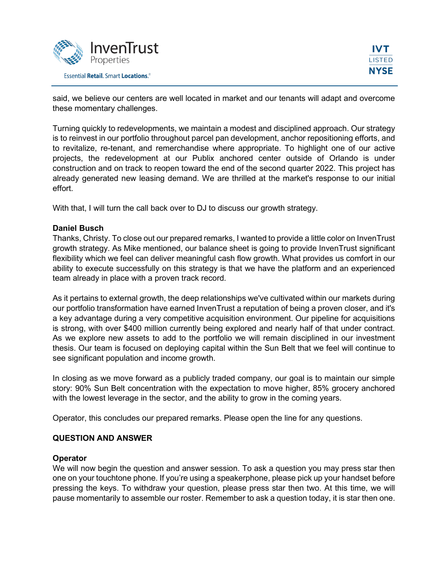

said, we believe our centers are well located in market and our tenants will adapt and overcome these momentary challenges.

Turning quickly to redevelopments, we maintain a modest and disciplined approach. Our strategy is to reinvest in our portfolio throughout parcel pan development, anchor repositioning efforts, and to revitalize, re-tenant, and remerchandise where appropriate. To highlight one of our active projects, the redevelopment at our Publix anchored center outside of Orlando is under construction and on track to reopen toward the end of the second quarter 2022. This project has already generated new leasing demand. We are thrilled at the market's response to our initial effort.

With that, I will turn the call back over to DJ to discuss our growth strategy.

## **Daniel Busch**

Thanks, Christy. To close out our prepared remarks, I wanted to provide a little color on InvenTrust growth strategy. As Mike mentioned, our balance sheet is going to provide InvenTrust significant flexibility which we feel can deliver meaningful cash flow growth. What provides us comfort in our ability to execute successfully on this strategy is that we have the platform and an experienced team already in place with a proven track record.

As it pertains to external growth, the deep relationships we've cultivated within our markets during our portfolio transformation have earned InvenTrust a reputation of being a proven closer, and it's a key advantage during a very competitive acquisition environment. Our pipeline for acquisitions is strong, with over \$400 million currently being explored and nearly half of that under contract. As we explore new assets to add to the portfolio we will remain disciplined in our investment thesis. Our team is focused on deploying capital within the Sun Belt that we feel will continue to see significant population and income growth.

In closing as we move forward as a publicly traded company, our goal is to maintain our simple story: 90% Sun Belt concentration with the expectation to move higher, 85% grocery anchored with the lowest leverage in the sector, and the ability to grow in the coming years.

Operator, this concludes our prepared remarks. Please open the line for any questions.

## **QUESTION AND ANSWER**

## **Operator**

We will now begin the question and answer session. To ask a question you may press star then one on your touchtone phone. If you're using a speakerphone, please pick up your handset before pressing the keys. To withdraw your question, please press star then two. At this time, we will pause momentarily to assemble our roster. Remember to ask a question today, it is star then one.